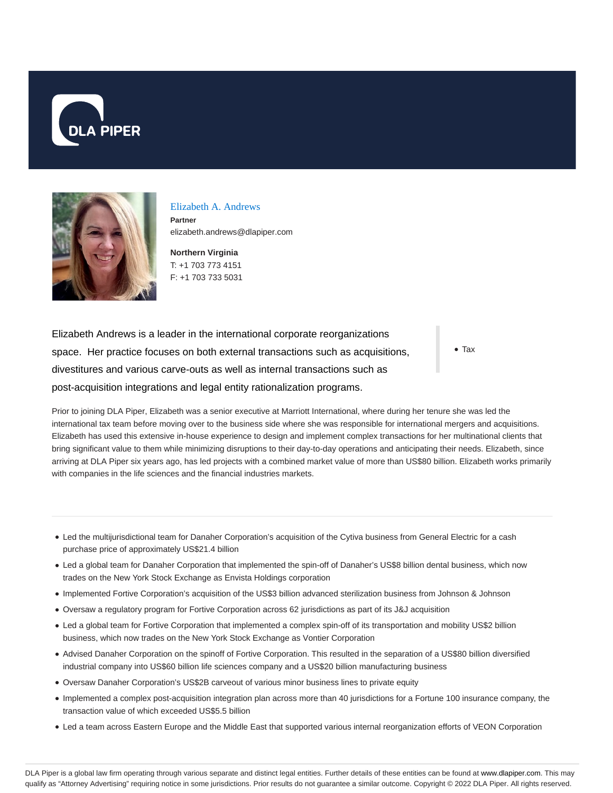



#### Elizabeth A. Andrews

**Partner** elizabeth.andrews@dlapiper.com

**Northern Virginia** T: +1 703 773 4151 F: +1 703 733 5031

Elizabeth Andrews is a leader in the international corporate reorganizations space. Her practice focuses on both external transactions such as acquisitions, divestitures and various carve-outs as well as internal transactions such as post-acquisition integrations and legal entity rationalization programs.

Tax

Prior to joining DLA Piper, Elizabeth was a senior executive at Marriott International, where during her tenure she was led the international tax team before moving over to the business side where she was responsible for international mergers and acquisitions. Elizabeth has used this extensive in-house experience to design and implement complex transactions for her multinational clients that bring significant value to them while minimizing disruptions to their day-to-day operations and anticipating their needs. Elizabeth, since arriving at DLA Piper six years ago, has led projects with a combined market value of more than US\$80 billion. Elizabeth works primarily with companies in the life sciences and the financial industries markets.

- Led the multijurisdictional team for Danaher Corporation's acquisition of the Cytiva business from General Electric for a cash purchase price of approximately US\$21.4 billion
- Led a global team for Danaher Corporation that implemented the spin-off of Danaher's US\$8 billion dental business, which now trades on the New York Stock Exchange as Envista Holdings corporation
- Implemented Fortive Corporation's acquisition of the US\$3 billion advanced sterilization business from Johnson & Johnson
- Oversaw a regulatory program for Fortive Corporation across 62 jurisdictions as part of its J&J acquisition
- Led a global team for Fortive Corporation that implemented a complex spin-off of its transportation and mobility US\$2 billion business, which now trades on the New York Stock Exchange as Vontier Corporation
- Advised Danaher Corporation on the spinoff of Fortive Corporation. This resulted in the separation of a US\$80 billion diversified industrial company into US\$60 billion life sciences company and a US\$20 billion manufacturing business
- Oversaw Danaher Corporation's US\$2B carveout of various minor business lines to private equity
- Implemented a complex post-acquisition integration plan across more than 40 jurisdictions for a Fortune 100 insurance company, the transaction value of which exceeded US\$5.5 billion
- Led a team across Eastern Europe and the Middle East that supported various internal reorganization efforts of VEON Corporation